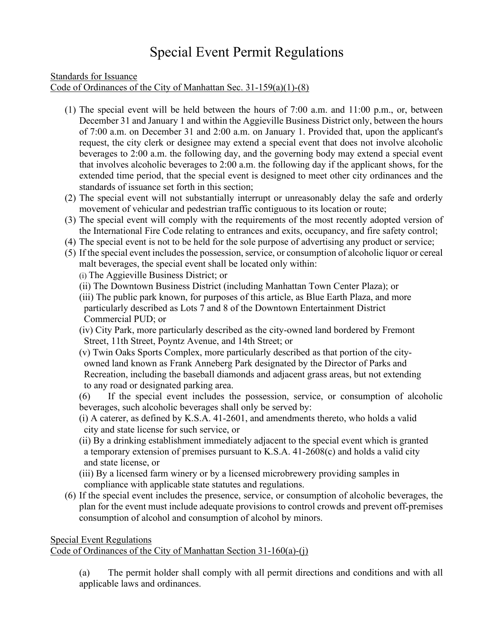## Special Event Permit Regulations

Standards for Issuance Code of Ordinances of the City of Manhattan Sec. 31-159(a)(1)-(8)

- (1) The special event will be held between the hours of 7:00 a.m. and 11:00 p.m., or, between December 31 and January 1 and within the Aggieville Business District only, between the hours of 7:00 a.m. on December 31 and 2:00 a.m. on January 1. Provided that, upon the applicant's request, the city clerk or designee may extend a special event that does not involve alcoholic beverages to 2:00 a.m. the following day, and the governing body may extend a special event that involves alcoholic beverages to 2:00 a.m. the following day if the applicant shows, for the extended time period, that the special event is designed to meet other city ordinances and the standards of issuance set forth in this section;
- (2) The special event will not substantially interrupt or unreasonably delay the safe and orderly movement of vehicular and pedestrian traffic contiguous to its location or route;
- (3) The special event will comply with the requirements of the most recently adopted version of the International Fire Code relating to entrances and exits, occupancy, and fire safety control;
- (4) The special event is not to be held for the sole purpose of advertising any product or service;
- (5) If the special event includes the possession, service, or consumption of alcoholic liquor or cereal malt beverages, the special event shall be located only within:

(i) The Aggieville Business District; or

- (ii) The Downtown Business District (including Manhattan Town Center Plaza); or
- (iii) The public park known, for purposes of this article, as Blue Earth Plaza, and more particularly described as Lots 7 and 8 of the Downtown Entertainment District Commercial PUD; or
- (iv) City Park, more particularly described as the city-owned land bordered by Fremont Street, 11th Street, Poyntz Avenue, and 14th Street; or
- (v) Twin Oaks Sports Complex, more particularly described as that portion of the city owned land known as Frank Anneberg Park designated by the Director of Parks and Recreation, including the baseball diamonds and adjacent grass areas, but not extending to any road or designated parking area.
- (6) If the special event includes the possession, service, or consumption of alcoholic beverages, such alcoholic beverages shall only be served by:
- (i) A caterer, as defined by K.S.A. 41-2601, and amendments thereto, who holds a valid city and state license for such service, or
- (ii) By a drinking establishment immediately adjacent to the special event which is granted a temporary extension of premises pursuant to K.S.A. 41-2608(c) and holds a valid city and state license, or
- (iii) By a licensed farm winery or by a licensed microbrewery providing samples in compliance with applicable state statutes and regulations.
- (6) If the special event includes the presence, service, or consumption of alcoholic beverages, the plan for the event must include adequate provisions to control crowds and prevent off-premises consumption of alcohol and consumption of alcohol by minors.

## Special Event Regulations Code of Ordinances of the City of Manhattan Section 31-160(a)-(j)

(a) The permit holder shall comply with all permit directions and conditions and with all applicable laws and ordinances.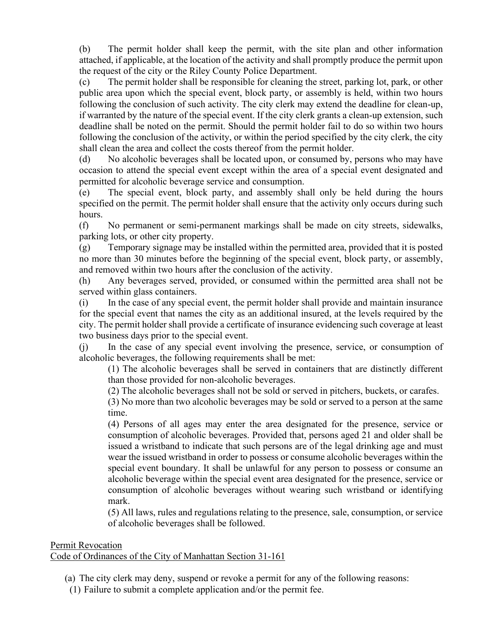(b) The permit holder shall keep the permit, with the site plan and other information attached, if applicable, at the location of the activity and shall promptly produce the permit upon the request of the city or the Riley County Police Department.

(c) The permit holder shall be responsible for cleaning the street, parking lot, park, or other public area upon which the special event, block party, or assembly is held, within two hours following the conclusion of such activity. The city clerk may extend the deadline for clean-up, if warranted by the nature of the special event. If the city clerk grants a clean-up extension, such deadline shall be noted on the permit. Should the permit holder fail to do so within two hours following the conclusion of the activity, or within the period specified by the city clerk, the city shall clean the area and collect the costs thereof from the permit holder.

(d) No alcoholic beverages shall be located upon, or consumed by, persons who may have occasion to attend the special event except within the area of a special event designated and permitted for alcoholic beverage service and consumption.

(e) The special event, block party, and assembly shall only be held during the hours specified on the permit. The permit holder shall ensure that the activity only occurs during such hours.

(f) No permanent or semi-permanent markings shall be made on city streets, sidewalks, parking lots, or other city property.

(g) Temporary signage may be installed within the permitted area, provided that it is posted no more than 30 minutes before the beginning of the special event, block party, or assembly, and removed within two hours after the conclusion of the activity.

(h) Any beverages served, provided, or consumed within the permitted area shall not be served within glass containers.

(i) In the case of any special event, the permit holder shall provide and maintain insurance for the special event that names the city as an additional insured, at the levels required by the city. The permit holder shall provide a certificate of insurance evidencing such coverage at least two business days prior to the special event.

(j) In the case of any special event involving the presence, service, or consumption of alcoholic beverages, the following requirements shall be met:

(1) The alcoholic beverages shall be served in containers that are distinctly different than those provided for non-alcoholic beverages.

(2) The alcoholic beverages shall not be sold or served in pitchers, buckets, or carafes.

(3) No more than two alcoholic beverages may be sold or served to a person at the same time.

(4) Persons of all ages may enter the area designated for the presence, service or consumption of alcoholic beverages. Provided that, persons aged 21 and older shall be issued a wristband to indicate that such persons are of the legal drinking age and must wear the issued wristband in order to possess or consume alcoholic beverages within the special event boundary. It shall be unlawful for any person to possess or consume an alcoholic beverage within the special event area designated for the presence, service or consumption of alcoholic beverages without wearing such wristband or identifying mark.

(5) All laws, rules and regulations relating to the presence, sale, consumption, or service of alcoholic beverages shall be followed.

## Permit Revocation

Code of Ordinances of the City of Manhattan Section 31-161

(a) The city clerk may deny, suspend or revoke a permit for any of the following reasons:

(1) Failure to submit a complete application and/or the permit fee.